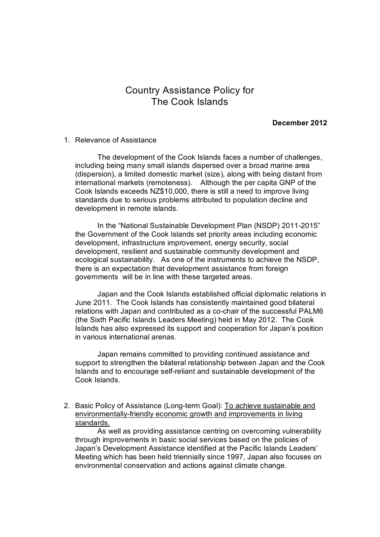## Country Assistance Policy for The Cook Islands

## **December 2012**

## 1. Relevance of Assistance

The development of the Cook Islands faces a number of challenges, including being many small islands dispersed over a broad marine area (dispersion), a limited domestic market (size), along with being distant from international markets (remoteness). Although the per capita GNP of the Cook Islands exceeds NZ\$10,000, there is still a need to improve living standards due to serious problems attributed to population decline and development in remote islands.

In the "National Sustainable Development Plan (NSDP) 2011-2015" the Government of the Cook Islands set priority areas including economic development, infrastructure improvement, energy security, social development, resilient and sustainable community development and ecological sustainability. As one of the instruments to achieve the NSDP, there is an expectation that development assistance from foreign governments will be in line with these targeted areas.

Japan and the Cook Islands established official diplomatic relations in June 2011. The Cook Islands has consistently maintained good bilateral relations with Japan and contributed as a co-chair of the successful PALM6 (the Sixth Pacific Islands Leaders Meeting) held in May 2012. The Cook Islands has also expressed its support and cooperation for Japan's position in various international arenas.

Japan remains committed to providing continued assistance and support to strengthen the bilateral relationship between Japan and the Cook Islands and to encourage self-reliant and sustainable development of the Cook Islands.

2. Basic Policy of Assistance (Long-term Goal): To achieve sustainable and environmentally-friendly economic growth and improvements in living standards.

As well as providing assistance centring on overcoming vulnerability through improvements in basic social services based on the policies of Japan's Development Assistance identified at the Pacific Islands Leaders' Meeting which has been held triennially since 1997, Japan also focuses on environmental conservation and actions against climate change.